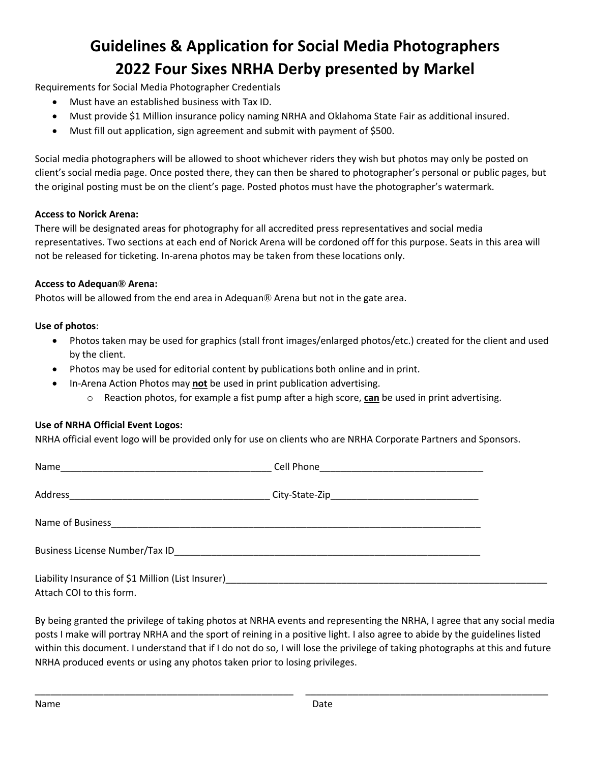# **Guidelines & Application for Social Media Photographers 2022 Four Sixes NRHA Derby presented by Markel**

Requirements for Social Media Photographer Credentials

- Must have an established business with Tax ID.
- Must provide \$1 Million insurance policy naming NRHA and Oklahoma State Fair as additional insured.
- Must fill out application, sign agreement and submit with payment of \$500.

Social media photographers will be allowed to shoot whichever riders they wish but photos may only be posted on client's social media page. Once posted there, they can then be shared to photographer's personal or public pages, but the original posting must be on the client's page. Posted photos must have the photographer's watermark.

## **Access to Norick Arena:**

There will be designated areas for photography for all accredited press representatives and social media representatives. Two sections at each end of Norick Arena will be cordoned off for this purpose. Seats in this area will not be released for ticketing. In-arena photos may be taken from these locations only.

## **Access to Adequan® Arena:**

Photos will be allowed from the end area in Adequan® Arena but not in the gate area.

## **Use of photos**:

- Photos taken may be used for graphics (stall front images/enlarged photos/etc.) created for the client and used by the client.
- Photos may be used for editorial content by publications both online and in print.
- In-Arena Action Photos may **not** be used in print publication advertising.
	- o Reaction photos, for example a fist pump after a high score, **can** be used in print advertising.

## **Use of NRHA Official Event Logos:**

NRHA official event logo will be provided only for use on clients who are NRHA Corporate Partners and Sponsors.

| Liability Insurance of \$1 Million (List Insurer)<br>1990 - The Montessen Management Annual Communication of \$1 Million (List Insurance Annual Communication of the |  |
|----------------------------------------------------------------------------------------------------------------------------------------------------------------------|--|
| Attach COI to this form.                                                                                                                                             |  |

By being granted the privilege of taking photos at NRHA events and representing the NRHA, I agree that any social media posts I make will portray NRHA and the sport of reining in a positive light. I also agree to abide by the guidelines listed within this document. I understand that if I do not do so, I will lose the privilege of taking photographs at this and future NRHA produced events or using any photos taken prior to losing privileges.

\_\_\_\_\_\_\_\_\_\_\_\_\_\_\_\_\_\_\_\_\_\_\_\_\_\_\_\_\_\_\_\_\_\_\_\_\_\_\_\_\_\_\_\_\_\_\_\_\_ \_\_\_\_\_\_\_\_\_\_\_\_\_\_\_\_\_\_\_\_\_\_\_\_\_\_\_\_\_\_\_\_\_\_\_\_\_\_\_\_\_\_\_\_\_\_